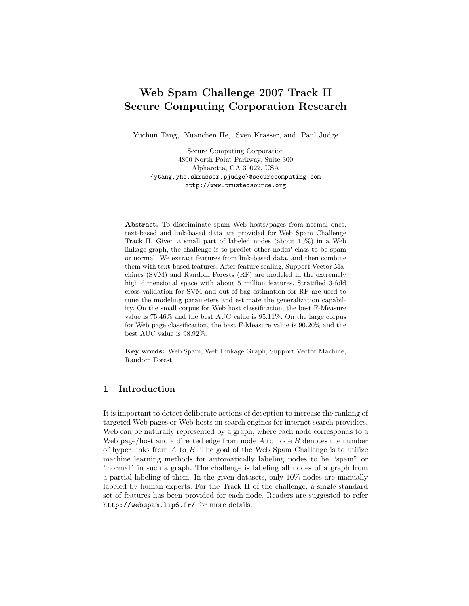# Web Spam Challenge 2007 Track II Secure Computing Corporation Research

Yuchun Tang, Yuanchen He, Sven Krasser, and Paul Judge

Secure Computing Corporation 4800 North Point Parkway, Suite 300 Alpharetta, GA 30022, USA {ytang,yhe,skrasser,pjudge}@securecomputing.com http://www.trustedsource.org

Abstract. To discriminate spam Web hosts/pages from normal ones, text-based and link-based data are provided for Web Spam Challenge Track II. Given a small part of labeled nodes (about 10%) in a Web linkage graph, the challenge is to predict other nodes' class to be spam or normal. We extract features from link-based data, and then combine them with text-based features. After feature scaling, Support Vector Machines (SVM) and Random Forests (RF) are modeled in the extremely high dimensional space with about 5 million features. Stratified 3-fold cross validation for SVM and out-of-bag estimation for RF are used to tune the modeling parameters and estimate the generalization capability. On the small corpus for Web host classification, the best F-Measure value is 75.46% and the best AUC value is 95.11%. On the large corpus for Web page classification, the best F-Measure value is 90.20% and the best AUC value is 98.92%.

Key words: Web Spam, Web Linkage Graph, Support Vector Machine, Random Forest

## 1 Introduction

It is important to detect deliberate actions of deception to increase the ranking of targeted Web pages or Web hosts on search engines for internet search providers. Web can be naturally represented by a graph, where each node corresponds to a Web page/host and a directed edge from node  $A$  to node  $B$  denotes the number of hyper links from  $A$  to  $B$ . The goal of the Web Spam Challenge is to utilize machine learning methods for automatically labeling nodes to be "spam" or "normal" in such a graph. The challenge is labeling all nodes of a graph from a partial labeling of them. In the given datasets, only 10% nodes are manually labeled by human experts. For the Track II of the challenge, a single standard set of features has been provided for each node. Readers are suggested to refer http://webspam.lip6.fr/ for more details.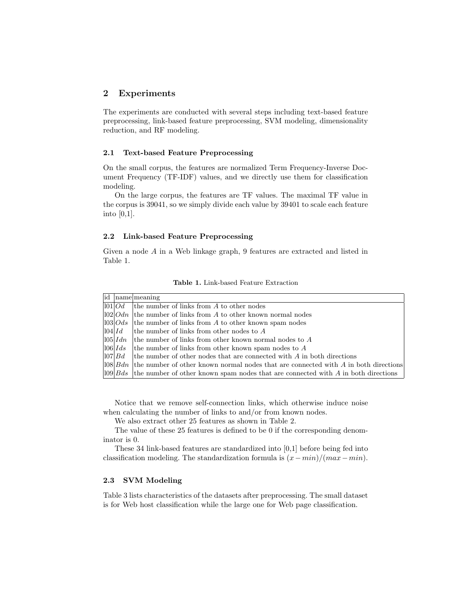## 2 Experiments

The experiments are conducted with several steps including text-based feature preprocessing, link-based feature preprocessing, SVM modeling, dimensionality reduction, and RF modeling.

#### 2.1 Text-based Feature Preprocessing

On the small corpus, the features are normalized Term Frequency-Inverse Document Frequency (TF-IDF) values, and we directly use them for classification modeling.

On the large corpus, the features are TF values. The maximal TF value in the corpus is 39041, so we simply divide each value by 39401 to scale each feature into  $[0,1]$ .

### 2.2 Link-based Feature Preprocessing

Given a node A in a Web linkage graph, 9 features are extracted and listed in Table 1.

|        | id name meaning                                                                                 |
|--------|-------------------------------------------------------------------------------------------------|
|        | $ 101 $ $Od$ the number of links from A to other nodes                                          |
|        | $ 102 Odn $ the number of links from A to other known normal nodes                              |
|        | $ 103 Ods$ the number of links from A to other known spam nodes                                 |
| 104 Id | the number of links from other nodes to $A$                                                     |
|        | $ 105 $ $Idn$ the number of links from other known normal nodes to A                            |
|        | $ 106 $ <i>Ids</i> the number of links from other known spam nodes to A                         |
|        | $ 107 Bd$ the number of other nodes that are connected with A in both directions                |
|        | $ 108 Bdn $ the number of other known normal nodes that are connected with A in both directions |
|        | $ 109 Bds$ the number of other known spam nodes that are connected with A in both directions    |

Table 1. Link-based Feature Extraction

Notice that we remove self-connection links, which otherwise induce noise when calculating the number of links to and/or from known nodes.

We also extract other 25 features as shown in Table 2.

The value of these 25 features is defined to be 0 if the corresponding denominator is 0.

These 34 link-based features are standardized into [0,1] before being fed into classification modeling. The standardization formula is  $(x-min)/(max-min)$ .

#### 2.3 SVM Modeling

Table 3 lists characteristics of the datasets after preprocessing. The small dataset is for Web host classification while the large one for Web page classification.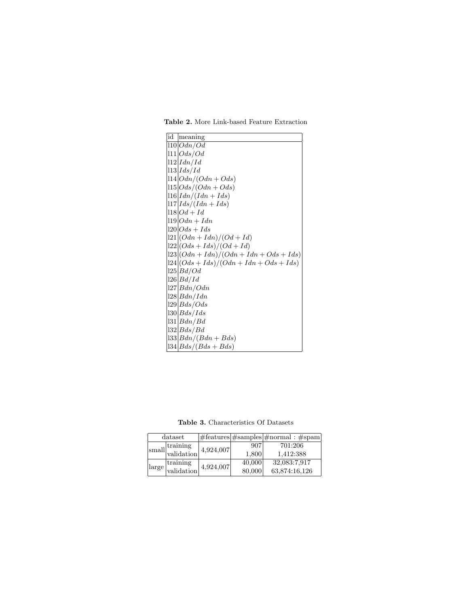| id meaning                                      |
|-------------------------------------------------|
| 110 Odn/Od                                      |
| 111 Ods/Od                                      |
| $ 112  \text{Id} n / \text{Id}$                 |
| $ 113 $ <i>Ids</i> / <i>Id</i>                  |
| $ 114 Odn/(Odn + Ods)$                          |
| $ 115 Ods/(Odn + Ods)$                          |
| $ 116 Idn/(Idn+Ids)$                            |
| $ 117 $ <i>Ids</i> /( <i>Idn</i> + <i>Ids</i> ) |
| $ 118 Od + Id$                                  |
| $119 Odn + Idn$                                 |
| $120\,Ods + Ids$                                |
| $ 121  (Odn + Idn)/(Od + Id)$                   |
| $ 122  (Ods + Ids)/(Od + Id)$                   |
| $ 123 $ $(Odn + Idn)/(Odn + Idn + Ods + Ids)$   |
| $ 124 $ $(Ods + Ids)/(Odn + Idn + Ods + Ids)$   |
| 125 Bd/Od                                       |
| 126 Bd/Id                                       |
| 27  Bdn/Odn                                     |
| $128$ $Bdn/Idn$                                 |
| $129$ $Bds/Ods$                                 |
| 30 Bds/Ids                                      |
| 31 Bdn/Bd                                       |
| 32 Bds/Bd                                       |
| $ 33 Bdn/(Bdn+Bds)$                             |
| $ 34 Bds/(Bds+Bds)$                             |

Table 2. More Link-based Feature Extraction

Table 3. Characteristics Of Datasets

|  |                                                                 | dataset                |           |        | $ \# \text{features}  \# \text{samples}  \# \text{normal}: \# \text{spam} $ |
|--|-----------------------------------------------------------------|------------------------|-----------|--------|-----------------------------------------------------------------------------|
|  | $\left.\left.\right _{\text{small}}\right _{\text{validation}}$ |                        | 4,924,007 | 907    | 701:206                                                                     |
|  |                                                                 |                        |           | 1,800  | 1.412:388                                                                   |
|  | $\lceil \text{large} \rceil$                                    | training<br>validation | 4,924,007 | 40,000 | 32,083:7,917                                                                |
|  |                                                                 |                        |           | 80,000 | 63,874:16,126                                                               |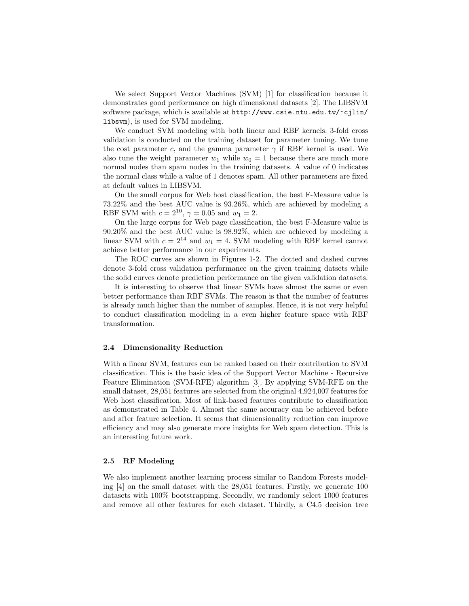We select Support Vector Machines (SVM) [1] for classification because it demonstrates good performance on high dimensional datasets [2]. The LIBSVM software package, which is available at http://www.csie.ntu.edu.tw/~cjlin/ libsvm), is used for SVM modeling.

We conduct SVM modeling with both linear and RBF kernels. 3-fold cross validation is conducted on the training dataset for parameter tuning. We tune the cost parameter c, and the gamma parameter  $\gamma$  if RBF kernel is used. We also tune the weight parameter  $w_1$  while  $w_0 = 1$  because there are much more normal nodes than spam nodes in the training datasets. A value of 0 indicates the normal class while a value of 1 denotes spam. All other parameters are fixed at default values in LIBSVM.

On the small corpus for Web host classification, the best F-Measure value is 73.22% and the best AUC value is 93.26%, which are achieved by modeling a RBF SVM with  $c = 2^{10}$ ,  $\gamma = 0.05$  and  $w_1 = 2$ .

On the large corpus for Web page classification, the best F-Measure value is 90.20% and the best AUC value is 98.92%, which are achieved by modeling a linear SVM with  $c = 2^{14}$  and  $w_1 = 4$ . SVM modeling with RBF kernel cannot achieve better performance in our experiments.

The ROC curves are shown in Figures 1-2. The dotted and dashed curves denote 3-fold cross validation performance on the given training datsets while the solid curves denote prediction performance on the given validation datasets.

It is interesting to observe that linear SVMs have almost the same or even better performance than RBF SVMs. The reason is that the number of features is already much higher than the number of samples. Hence, it is not very helpful to conduct classification modeling in a even higher feature space with RBF transformation.

#### 2.4 Dimensionality Reduction

With a linear SVM, features can be ranked based on their contribution to SVM classification. This is the basic idea of the Support Vector Machine - Recursive Feature Elimination (SVM-RFE) algorithm [3]. By applying SVM-RFE on the small dataset, 28,051 features are selected from the original 4,924,007 features for Web host classification. Most of link-based features contribute to classification as demonstrated in Table 4. Almost the same accuracy can be achieved before and after feature selection. It seems that dimensionality reduction can improve efficiency and may also generate more insights for Web spam detection. This is an interesting future work.

### 2.5 RF Modeling

We also implement another learning process similar to Random Forests modeling [4] on the small dataset with the 28,051 features. Firstly, we generate 100 datasets with 100% bootstrapping. Secondly, we randomly select 1000 features and remove all other features for each dataset. Thirdly, a C4.5 decision tree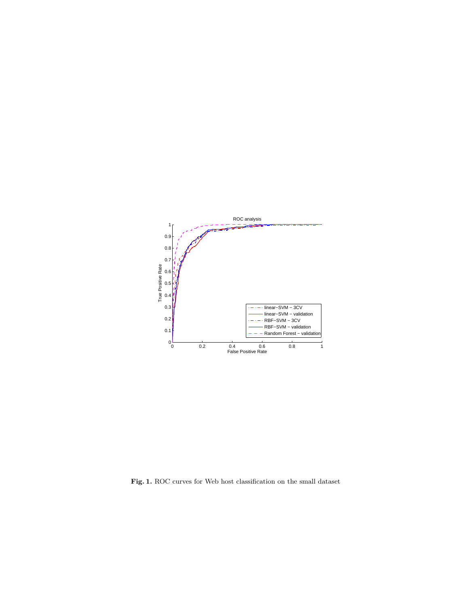

Fig. 1. ROC curves for Web host classification on the small dataset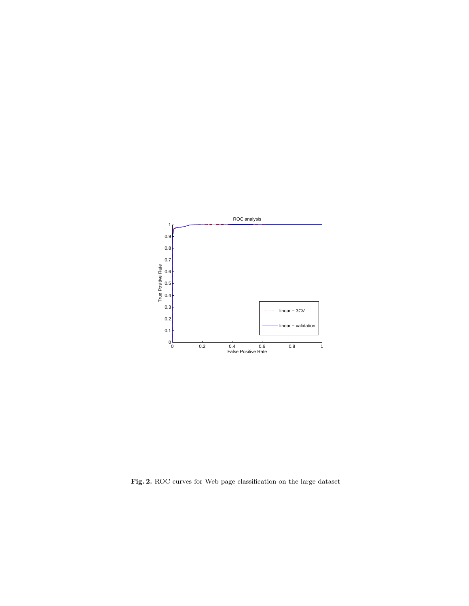

Fig. 2. ROC curves for Web page classification on the large dataset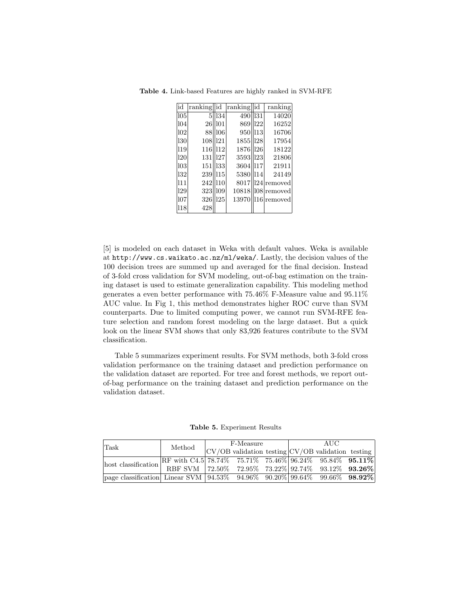| id  | rankinglid |                 | ranking  id |     | ranking         |
|-----|------------|-----------------|-------------|-----|-----------------|
| 105 | 5          | $\parallel$ 134 | 490 131     |     | 14020           |
| 104 | 26         | 101             | 869         | 122 | 16252           |
| 102 | 88         | 106             | 950         | 113 | 16706           |
| 130 | 108        | 121             | 1855        | 128 | 17954           |
| 119 | 116        | 112             | 1876        | 126 | 18122           |
| 120 | 131        | 127             | 3593        | 123 | 21806           |
| 103 | 151        | 133             | 3604        | 117 | 21911           |
| 132 | 239        | 115             | 5380 114    |     | 24149           |
| 111 | 242        | $ 110\rangle$   | 8017        |     | $ 124 $ removed |
| 129 | 323        | 109             | 10818       |     | 108 removed     |
| 107 | 326        | 125             | 13970       |     | 116 removed     |
| 118 | 428        |                 |             |     |                 |

Table 4. Link-based Features are highly ranked in SVM-RFE

[5] is modeled on each dataset in Weka with default values. Weka is available at http://www.cs.waikato.ac.nz/ml/weka/. Lastly, the decision values of the 100 decision trees are summed up and averaged for the final decision. Instead of 3-fold cross validation for SVM modeling, out-of-bag estimation on the training dataset is used to estimate generalization capability. This modeling method generates a even better performance with 75.46% F-Measure value and 95.11% AUC value. In Fig 1, this method demonstrates higher ROC curve than SVM counterparts. Due to limited computing power, we cannot run SVM-RFE feature selection and random forest modeling on the large dataset. But a quick look on the linear SVM shows that only 83,926 features contribute to the SVM classification.

Table 5 summarizes experiment results. For SVM methods, both 3-fold cross validation performance on the training dataset and prediction performance on the validation dataset are reported. For tree and forest methods, we report outof-bag performance on the training dataset and prediction performance on the validation dataset.

Table 5. Experiment Results

| Task                                                                               | Method                                                 | F-Measure |  |  | AUC |                                                         |  |
|------------------------------------------------------------------------------------|--------------------------------------------------------|-----------|--|--|-----|---------------------------------------------------------|--|
|                                                                                    |                                                        |           |  |  |     | $ CV/OB$ validation testing $ CV/OB$ validation testing |  |
|                                                                                    | RF with C4.5 78.74% 75.71% 75.46% 96.24% 95.84% 95.11% |           |  |  |     |                                                         |  |
|                                                                                    |                                                        |           |  |  |     |                                                         |  |
| page classification  Linear SVM   $94.53\%$ 94.96% 90.20%  $99.64\%$ 99.66% 98.92% |                                                        |           |  |  |     |                                                         |  |